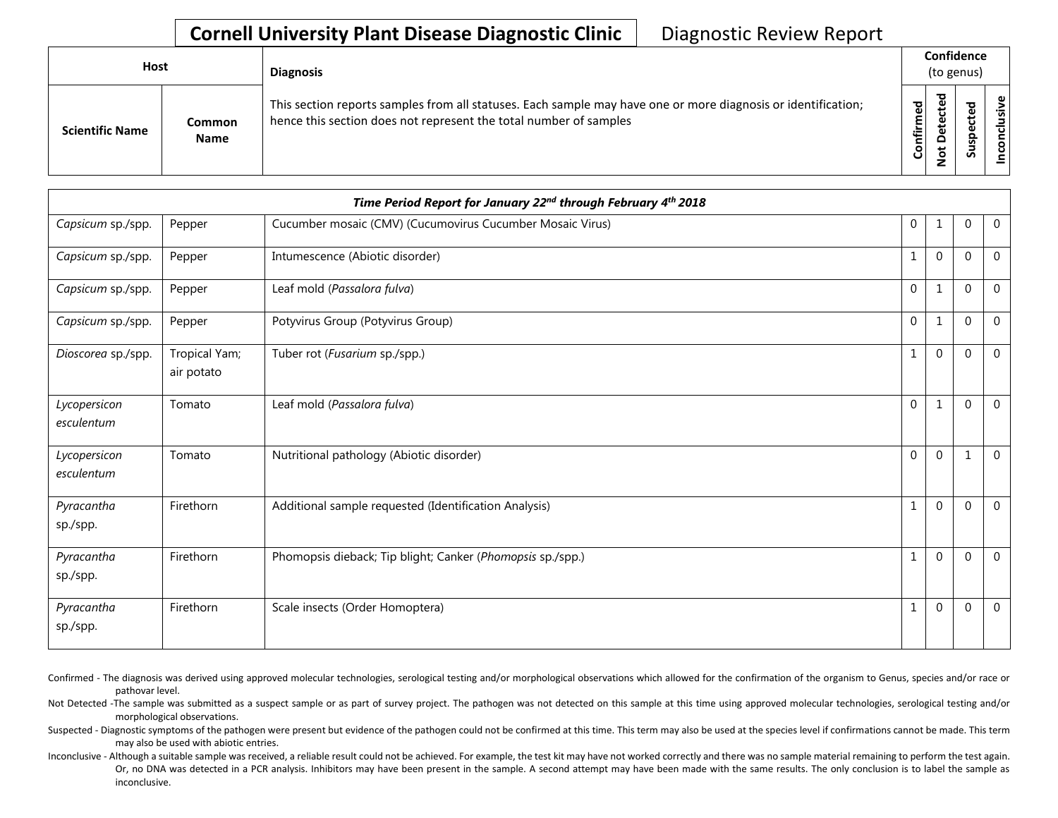## **Cornell University Plant Disease Diagnostic Clinic** | Diagnostic Review Report

| <b>Host</b>            |                              | <b>Diagnosis</b>                                                                                                                                                                   | Confidence<br>(to genus) |                                  |   |                 |  |
|------------------------|------------------------------|------------------------------------------------------------------------------------------------------------------------------------------------------------------------------------|--------------------------|----------------------------------|---|-----------------|--|
| <b>Scientific Name</b> | <b>Common</b><br><b>Name</b> | This section reports samples from all statuses. Each sample may have one or more diagnosis or identification;<br>hence this section does not represent the total number of samples | Confirmed                | ᇃ<br>ن<br>Φ<br>≏<br>سه<br>⇁<br>- | ശ | ω<br>usiv<br>᠊ᠣ |  |

| Time Period Report for January 22nd through February 4th 2018 |                             |                                                            |              |              |              |                |  |
|---------------------------------------------------------------|-----------------------------|------------------------------------------------------------|--------------|--------------|--------------|----------------|--|
| Capsicum sp./spp.                                             | Pepper                      | Cucumber mosaic (CMV) (Cucumovirus Cucumber Mosaic Virus)  | $\mathbf 0$  |              | $\Omega$     | $\overline{0}$ |  |
| Capsicum sp./spp.                                             | Pepper                      | Intumescence (Abiotic disorder)                            | 1            | $\mathbf 0$  | $\Omega$     | $\overline{0}$ |  |
| Capsicum sp./spp.                                             | Pepper                      | Leaf mold (Passalora fulva)                                | $\mathbf 0$  | 1            | $\Omega$     | $\mathbf 0$    |  |
| Capsicum sp./spp.                                             | Pepper                      | Potyvirus Group (Potyvirus Group)                          | $\mathbf 0$  | $\mathbf{1}$ | $\Omega$     | $\mathbf 0$    |  |
| Dioscorea sp./spp.                                            | Tropical Yam;<br>air potato | Tuber rot (Fusarium sp./spp.)                              | 1            | $\mathbf{0}$ | $\Omega$     | $\overline{0}$ |  |
| Lycopersicon<br>esculentum                                    | Tomato                      | Leaf mold (Passalora fulva)                                | $\mathbf{0}$ | $\mathbf{1}$ | $\Omega$     | $\overline{0}$ |  |
| Lycopersicon<br>esculentum                                    | Tomato                      | Nutritional pathology (Abiotic disorder)                   | $\mathbf 0$  | $\mathbf 0$  | $\mathbf{1}$ | $\overline{0}$ |  |
| Pyracantha<br>sp./spp.                                        | Firethorn                   | Additional sample requested (Identification Analysis)      | $\mathbf{1}$ | $\mathbf{0}$ | $\mathbf 0$  | $\overline{0}$ |  |
| Pyracantha<br>sp./spp.                                        | Firethorn                   | Phomopsis dieback; Tip blight; Canker (Phomopsis sp./spp.) | 1            | $\mathbf{0}$ | $\Omega$     | $\overline{0}$ |  |
| Pyracantha<br>sp./spp.                                        | Firethorn                   | Scale insects (Order Homoptera)                            |              | $\mathbf{0}$ | $\mathbf 0$  | $\overline{0}$ |  |

Confirmed - The diagnosis was derived using approved molecular technologies, serological testing and/or morphological observations which allowed for the confirmation of the organism to Genus, species and/or race or pathovar level.

Not Detected -The sample was submitted as a suspect sample or as part of survey project. The pathogen was not detected on this sample at this time using approved molecular technologies, serological testing and/or morphological observations.

Suspected - Diagnostic symptoms of the pathogen were present but evidence of the pathogen could not be confirmed at this time. This term may also be used at the species level if confirmations cannot be made. This term may also be used with abiotic entries.

Inconclusive - Although a suitable sample was received, a reliable result could not be achieved. For example, the test kit may have not worked correctly and there was no sample material remaining to perform the test again. Or, no DNA was detected in a PCR analysis. Inhibitors may have been present in the sample. A second attempt may have been made with the same results. The only conclusion is to label the sample as inconclusive.